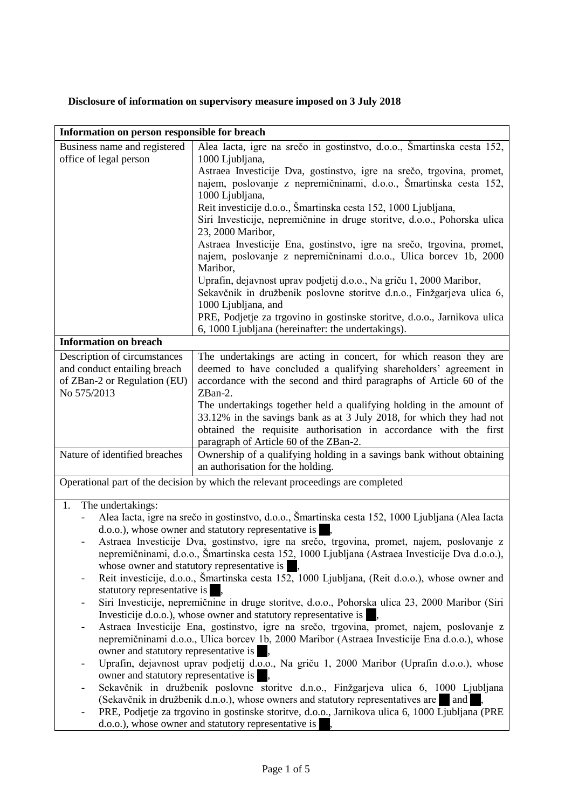## **Disclosure of information on supervisory measure imposed on 3 July 2018**

| Information on person responsible for breach                                                                                                      |                                                                                                                                            |
|---------------------------------------------------------------------------------------------------------------------------------------------------|--------------------------------------------------------------------------------------------------------------------------------------------|
| Business name and registered                                                                                                                      | Alea Iacta, igre na srečo in gostinstvo, d.o.o., Šmartinska cesta 152,                                                                     |
| office of legal person                                                                                                                            | 1000 Ljubljana,                                                                                                                            |
|                                                                                                                                                   | Astraea Investicije Dva, gostinstvo, igre na srečo, trgovina, promet,                                                                      |
|                                                                                                                                                   | najem, poslovanje z nepremičninami, d.o.o., Šmartinska cesta 152,                                                                          |
|                                                                                                                                                   | 1000 Ljubljana,                                                                                                                            |
|                                                                                                                                                   | Reit investicije d.o.o., Šmartinska cesta 152, 1000 Ljubljana,<br>Siri Investicije, nepremičnine in druge storitve, d.o.o., Pohorska ulica |
|                                                                                                                                                   | 23, 2000 Maribor,                                                                                                                          |
|                                                                                                                                                   | Astraea Investicije Ena, gostinstvo, igre na srečo, trgovina, promet,                                                                      |
|                                                                                                                                                   | najem, poslovanje z nepremičninami d.o.o., Ulica borcev 1b, 2000                                                                           |
|                                                                                                                                                   | Maribor,                                                                                                                                   |
|                                                                                                                                                   | Uprafin, dejavnost uprav podjetij d.o.o., Na griču 1, 2000 Maribor,                                                                        |
|                                                                                                                                                   | Sekavčnik in družbenik poslovne storitve d.n.o., Finžgarjeva ulica 6,                                                                      |
|                                                                                                                                                   | 1000 Ljubljana, and                                                                                                                        |
|                                                                                                                                                   | PRE, Podjetje za trgovino in gostinske storitve, d.o.o., Jarnikova ulica                                                                   |
|                                                                                                                                                   | 6, 1000 Ljubljana (hereinafter: the undertakings).                                                                                         |
| <b>Information on breach</b>                                                                                                                      |                                                                                                                                            |
| Description of circumstances                                                                                                                      | The undertakings are acting in concert, for which reason they are                                                                          |
| and conduct entailing breach                                                                                                                      | deemed to have concluded a qualifying shareholders' agreement in                                                                           |
| of ZBan-2 or Regulation (EU)<br>No 575/2013                                                                                                       | accordance with the second and third paragraphs of Article 60 of the<br>ZBan-2.                                                            |
|                                                                                                                                                   | The undertakings together held a qualifying holding in the amount of                                                                       |
|                                                                                                                                                   | 33.12% in the savings bank as at 3 July 2018, for which they had not                                                                       |
|                                                                                                                                                   | obtained the requisite authorisation in accordance with the first                                                                          |
|                                                                                                                                                   | paragraph of Article 60 of the ZBan-2.                                                                                                     |
| Nature of identified breaches                                                                                                                     | Ownership of a qualifying holding in a savings bank without obtaining                                                                      |
|                                                                                                                                                   | an authorisation for the holding.                                                                                                          |
| Operational part of the decision by which the relevant proceedings are completed                                                                  |                                                                                                                                            |
|                                                                                                                                                   |                                                                                                                                            |
| The undertakings:<br>1.                                                                                                                           |                                                                                                                                            |
| Alea Iacta, igre na srečo in gostinstvo, d.o.o., Šmartinska cesta 152, 1000 Ljubljana (Alea Iacta                                                 |                                                                                                                                            |
| d.o.o.), whose owner and statutory representative is<br>Astraea Investicije Dva, gostinstvo, igre na srečo, trgovina, promet, najem, poslovanje z |                                                                                                                                            |
| nepremičninami, d.o.o., Šmartinska cesta 152, 1000 Ljubljana (Astraea Investicije Dva d.o.o.),                                                    |                                                                                                                                            |
| whose owner and statutory representative is                                                                                                       |                                                                                                                                            |
| Reit investicije, d.o.o., Šmartinska cesta 152, 1000 Ljubljana, (Reit d.o.o.), whose owner and                                                    |                                                                                                                                            |
| statutory representative is                                                                                                                       |                                                                                                                                            |
| Siri Investicije, nepremičnine in druge storitve, d.o.o., Pohorska ulica 23, 2000 Maribor (Siri<br>$\overline{\phantom{a}}$                       |                                                                                                                                            |
| Investicije d.o.o.), whose owner and statutory representative is                                                                                  |                                                                                                                                            |
| Astraea Investicije Ena, gostinstvo, igre na srečo, trgovina, promet, najem, poslovanje z<br>$\overline{\phantom{a}}$                             |                                                                                                                                            |
| nepremičninami d.o.o., Ulica borcev 1b, 2000 Maribor (Astraea Investicije Ena d.o.o.), whose                                                      |                                                                                                                                            |
| owner and statutory representative is                                                                                                             |                                                                                                                                            |
| Uprafin, dejavnost uprav podjetij d.o.o., Na griču 1, 2000 Maribor (Uprafin d.o.o.), whose<br>owner and statutory representative is               |                                                                                                                                            |
| Sekavčnik in družbenik poslovne storitve d.n.o., Finžgarjeva ulica 6, 1000 Ljubljana                                                              |                                                                                                                                            |
| (Sekavčnik in družbenik d.n.o.), whose owners and statutory representatives are<br>and                                                            |                                                                                                                                            |
| PRE, Podjetje za trgovino in gostinske storitve, d.o.o., Jarnikova ulica 6, 1000 Ljubljana (PRE                                                   |                                                                                                                                            |
| d.o.o.), whose owner and statutory representative is                                                                                              |                                                                                                                                            |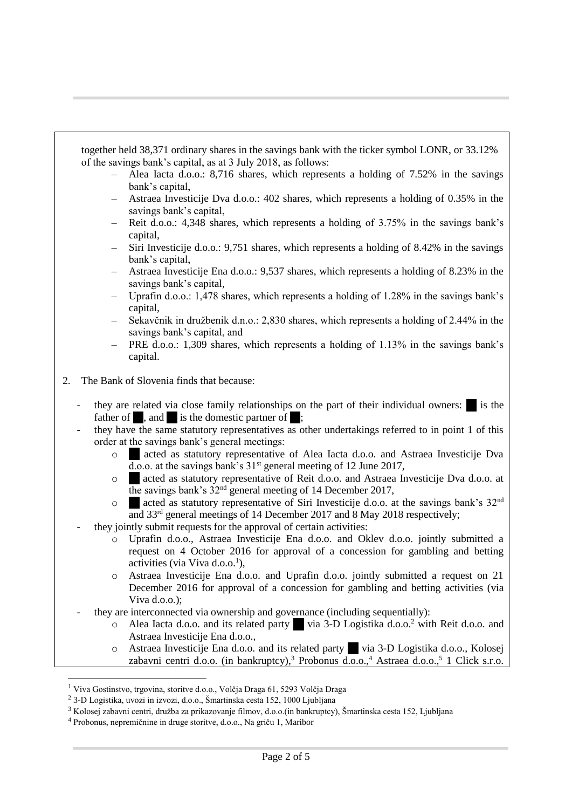together held 38,371 ordinary shares in the savings bank with the ticker symbol LONR, or 33.12% of the savings bank's capital, as at 3 July 2018, as follows:

- Alea Iacta d.o.o.: 8,716 shares, which represents a holding of 7.52% in the savings bank's capital,
- Astraea Investicije Dva d.o.o.: 402 shares, which represents a holding of 0.35% in the savings bank's capital,
- Reit d.o.o.: 4,348 shares, which represents a holding of 3.75% in the savings bank's capital,
- Siri Investicije d.o.o.: 9,751 shares, which represents a holding of 8.42% in the savings bank's capital,
- Astraea Investicije Ena d.o.o.: 9,537 shares, which represents a holding of 8.23% in the savings bank's capital,
- Uprafin d.o.o.: 1,478 shares, which represents a holding of 1.28% in the savings bank's capital,
- Sekavčnik in družbenik d.n.o.: 2,830 shares, which represents a holding of 2.44% in the savings bank's capital, and
- PRE d.o.o.: 1,309 shares, which represents a holding of 1.13% in the savings bank's capital.
- 2. The Bank of Slovenia finds that because:
	- they are related via close family relationships on the part of their individual owners:  $\blacksquare$  is the father of **.**, and **i** is the domestic partner of :
	- they have the same statutory representatives as other undertakings referred to in point 1 of this order at the savings bank's general meetings:
		- o … acted as statutory representative of Alea Iacta d.o.o. and Astraea Investicije Dva d.o.o. at the savings bank's  $31<sup>st</sup>$  general meeting of 12 June 2017,
		- o … acted as statutory representative of Reit d.o.o. and Astraea Investicije Dva d.o.o. at the savings bank's 32nd general meeting of 14 December 2017,
		- $\circ$  acted as statutory representative of Siri Investicije d.o.o. at the savings bank's 32<sup>nd</sup> and 33rd general meetings of 14 December 2017 and 8 May 2018 respectively;
	- they jointly submit requests for the approval of certain activities:
		- o Uprafin d.o.o., Astraea Investicije Ena d.o.o. and Oklev d.o.o. jointly submitted a request on 4 October 2016 for approval of a concession for gambling and betting activities (via Viva d.o.o.<sup>1</sup>),
		- o Astraea Investicije Ena d.o.o. and Uprafin d.o.o. jointly submitted a request on 21 December 2016 for approval of a concession for gambling and betting activities (via Viva d.o.o.);
	- they are interconnected via ownership and governance (including sequentially):
		- o Alea Iacta d.o.o. and its related party … via 3-D Logistika d.o.o.<sup>2</sup> with Reit d.o.o. and Astraea Investicije Ena d.o.o.,
		- o Astraea Investicije Ena d.o.o. and its related party … via 3-D Logistika d.o.o., Kolosej zabavni centri d.o.o. (in bankruptcy),<sup>3</sup> Probonus d.o.o.,<sup>4</sup> Astraea d.o.o.,<sup>5</sup> 1 Click s.r.o.

l

<sup>1</sup> Viva Gostinstvo, trgovina, storitve d.o.o., Volčja Draga 61, 5293 Volčja Draga

<sup>2</sup> 3-D Logistika, uvozi in izvozi, d.o.o., Šmartinska cesta 152, 1000 Ljubljana

<sup>3</sup> Kolosej zabavni centri, družba za prikazovanje filmov, d.o.o.(in bankruptcy), Šmartinska cesta 152, Ljubljana

<sup>4</sup> Probonus, nepremičnine in druge storitve, d.o.o., Na griču 1, Maribor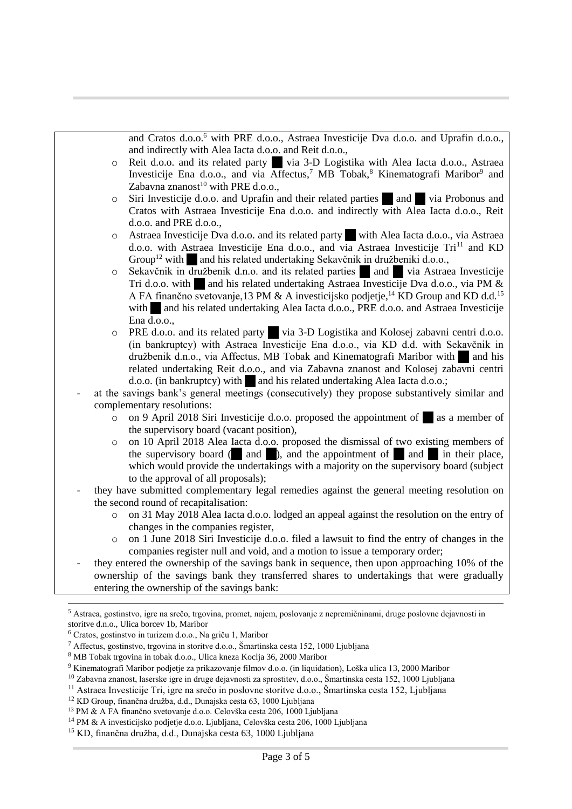and Cratos d.o.o.<sup>6</sup> with PRE d.o.o., Astraea Investicije Dva d.o.o. and Uprafin d.o.o., and indirectly with Alea Iacta d.o.o. and Reit d.o.o.,

- o Reit d.o.o. and its related party … via 3-D Logistika with Alea Iacta d.o.o., Astraea Investicije Ena d.o.o., and via Affectus,<sup>7</sup> MB Tobak,<sup>8</sup> Kinematografi Maribor<sup>9</sup> and Zabavna znanost $^{10}$  with PRE d.o.o.,
- o Siri Investicije d.o.o. and Uprafin and their related parties … and … via Probonus and Cratos with Astraea Investicije Ena d.o.o. and indirectly with Alea Iacta d.o.o., Reit d.o.o. and PRE d.o.o.,
- o Astraea Investicije Dva d.o.o. and its related party … with Alea Iacta d.o.o., via Astraea d.o.o. with Astraea Investicije Ena d.o.o., and via Astraea Investicije Tri<sup>11</sup> and KD Group<sup>12</sup> with and his related undertaking Sekavčnik in družbeniki d.o.o.,
- $\circ$  Sekavčnik in družbenik d.n.o. and its related parties and using via Astraea Investicije Tri d.o.o. with … and his related undertaking Astraea Investicije Dva d.o.o., via PM & A FA finančno svetovanje, 13 PM & A investicijsko podjetje, <sup>14</sup> KD Group and KD d.d.<sup>15</sup> with and his related undertaking Alea Iacta d.o.o., PRE d.o.o. and Astraea Investicije Ena d.o.o.,
- o PRE d.o.o. and its related party … via 3-D Logistika and Kolosej zabavni centri d.o.o. (in bankruptcy) with Astraea Investicije Ena d.o.o., via KD d.d. with Sekavčnik in družbenik d.n.o., via Affectus, MB Tobak and Kinematografi Maribor with … and his related undertaking Reit d.o.o., and via Zabavna znanost and Kolosej zabavni centri d.o.o. (in bankruptcy) with … and his related undertaking Alea Iacta d.o.o.;
- at the savings bank's general meetings (consecutively) they propose substantively similar and complementary resolutions:
	- $\circ$  on 9 April 2018 Siri Investicije d.o.o. proposed the appointment of  $\bullet$  as a member of the supervisory board (vacant position),
	- o on 10 April 2018 Alea Iacta d.o.o. proposed the dismissal of two existing members of the supervisory board ( and ), and the appointment of and in their place, which would provide the undertakings with a majority on the supervisory board (subject to the approval of all proposals);
- they have submitted complementary legal remedies against the general meeting resolution on the second round of recapitalisation:
	- o on 31 May 2018 Alea Iacta d.o.o. lodged an appeal against the resolution on the entry of changes in the companies register,
	- $\circ$  on 1 June 2018 Siri Investicije d.o.o. filed a lawsuit to find the entry of changes in the companies register null and void, and a motion to issue a temporary order;
- they entered the ownership of the savings bank in sequence, then upon approaching 10% of the ownership of the savings bank they transferred shares to undertakings that were gradually entering the ownership of the savings bank:

l

<sup>5</sup> Astraea, gostinstvo, igre na srečo, trgovina, promet, najem, poslovanje z nepremičninami, druge poslovne dejavnosti in storitve d.n.o., Ulica borcev 1b, Maribor

<sup>6</sup> Cratos, gostinstvo in turizem d.o.o., Na griču 1, Maribor

<sup>7</sup> Affectus, gostinstvo, trgovina in storitve d.o.o., Šmartinska cesta 152, 1000 Ljubljana

<sup>8</sup> MB Tobak trgovina in tobak d.o.o., Ulica kneza Koclja 36, 2000 Maribor

<sup>9</sup> Kinematografi Maribor podjetje za prikazovanje filmov d.o.o. (in liquidation), Loška ulica 13, 2000 Maribor

<sup>10</sup> Zabavna znanost, laserske igre in druge dejavnosti za sprostitev, d.o.o., Šmartinska cesta 152, 1000 Ljubljana

<sup>11</sup> Astraea Investicije Tri, igre na srečo in poslovne storitve d.o.o., Šmartinska cesta 152, Ljubljana

<sup>12</sup> KD Group, finančna družba, d.d., Dunajska cesta 63, 1000 Ljubljana

<sup>13</sup> PM & A FA finančno svetovanje d.o.o. Celovška cesta 206, 1000 Ljubljana

<sup>14</sup> PM & A investicijsko podjetje d.o.o. Ljubljana, Celovška cesta 206, 1000 Ljubljana

<sup>15</sup> KD, finančna družba, d.d., Dunajska cesta 63, 1000 Ljubljana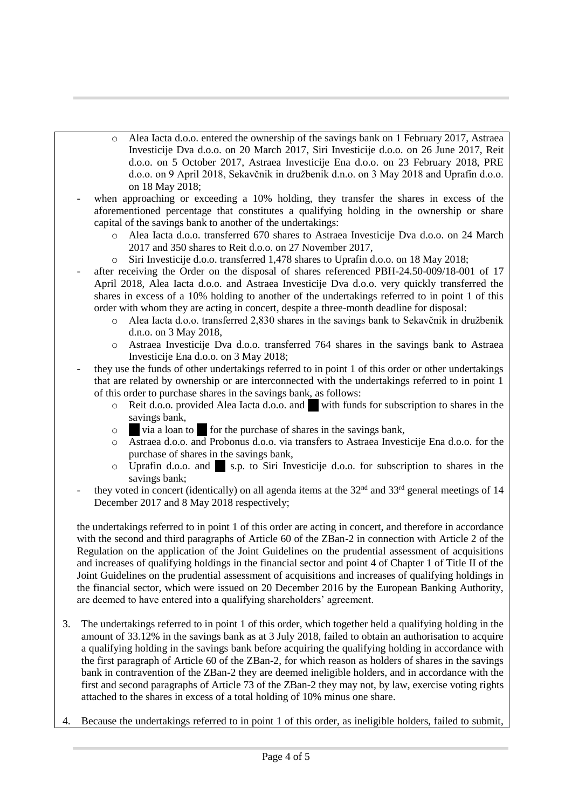- o Alea Iacta d.o.o. entered the ownership of the savings bank on 1 February 2017, Astraea Investicije Dva d.o.o. on 20 March 2017, Siri Investicije d.o.o. on 26 June 2017, Reit d.o.o. on 5 October 2017, Astraea Investicije Ena d.o.o. on 23 February 2018, PRE d.o.o. on 9 April 2018, Sekavčnik in družbenik d.n.o. on 3 May 2018 and Uprafin d.o.o. on 18 May 2018;
- when approaching or exceeding a 10% holding, they transfer the shares in excess of the aforementioned percentage that constitutes a qualifying holding in the ownership or share capital of the savings bank to another of the undertakings:
	- o Alea Iacta d.o.o. transferred 670 shares to Astraea Investicije Dva d.o.o. on 24 March 2017 and 350 shares to Reit d.o.o. on 27 November 2017,
	- o Siri Investicije d.o.o. transferred 1,478 shares to Uprafin d.o.o. on 18 May 2018;
- after receiving the Order on the disposal of shares referenced PBH-24.50-009/18-001 of 17 April 2018, Alea Iacta d.o.o. and Astraea Investicije Dva d.o.o. very quickly transferred the shares in excess of a 10% holding to another of the undertakings referred to in point 1 of this order with whom they are acting in concert, despite a three-month deadline for disposal:
	- o Alea Iacta d.o.o. transferred 2,830 shares in the savings bank to Sekavčnik in družbenik d.n.o. on 3 May 2018,
	- o Astraea Investicije Dva d.o.o. transferred 764 shares in the savings bank to Astraea Investicije Ena d.o.o. on 3 May 2018;
- they use the funds of other undertakings referred to in point 1 of this order or other undertakings that are related by ownership or are interconnected with the undertakings referred to in point 1 of this order to purchase shares in the savings bank, as follows:
	- o Reit d.o.o. provided Alea Iacta d.o.o. and … with funds for subscription to shares in the savings bank,
	- o … via a loan to … for the purchase of shares in the savings bank,
	- o Astraea d.o.o. and Probonus d.o.o. via transfers to Astraea Investicije Ena d.o.o. for the purchase of shares in the savings bank,
	- o Uprafin d.o.o. and … s.p. to Siri Investicije d.o.o. for subscription to shares in the savings bank;
- they voted in concert (identically) on all agenda items at the 32<sup>nd</sup> and 33<sup>rd</sup> general meetings of 14 December 2017 and 8 May 2018 respectively;

the undertakings referred to in point 1 of this order are acting in concert, and therefore in accordance with the second and third paragraphs of Article 60 of the ZBan-2 in connection with Article 2 of the Regulation on the application of the Joint Guidelines on the prudential assessment of acquisitions and increases of qualifying holdings in the financial sector and point 4 of Chapter 1 of Title II of the Joint Guidelines on the prudential assessment of acquisitions and increases of qualifying holdings in the financial sector, which were issued on 20 December 2016 by the European Banking Authority, are deemed to have entered into a qualifying shareholders' agreement.

- 3. The undertakings referred to in point 1 of this order, which together held a qualifying holding in the amount of 33.12% in the savings bank as at 3 July 2018, failed to obtain an authorisation to acquire a qualifying holding in the savings bank before acquiring the qualifying holding in accordance with the first paragraph of Article 60 of the ZBan-2, for which reason as holders of shares in the savings bank in contravention of the ZBan-2 they are deemed ineligible holders, and in accordance with the first and second paragraphs of Article 73 of the ZBan-2 they may not, by law, exercise voting rights attached to the shares in excess of a total holding of 10% minus one share.
- 4. Because the undertakings referred to in point 1 of this order, as ineligible holders, failed to submit,